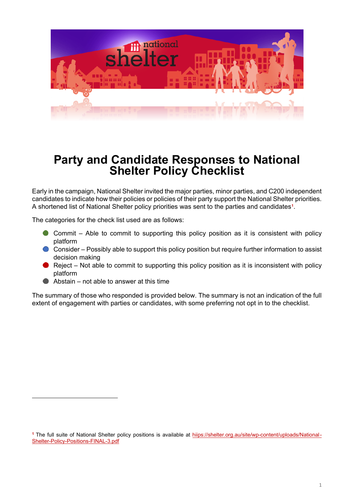

# **Party and Candidate Responses to National Shelter Policy Checklist**

Early in the campaign, National Shelter invited the major parties, minor parties, and C200 independent candidates to indicate how their policies or policies of their party support the National Shelter priorities. A shortened list of National Shelter policy priorities was sent to the parties and candidates**[1](#page-0-0)**.

The categories for the check list used are as follows:

- Commit Able to commit to supporting this policy position as it is consistent with policy platform
- Consider Possibly able to support this policy position but require further information to assist decision making
- Reject Not able to commit to supporting this policy position as it is inconsistent with policy platform
- Abstain not able to answer at this time

The summary of those who responded is provided below. The summary is not an indication of the full extent of engagement with parties or candidates, with some preferring not opt in to the checklist.

<span id="page-0-0"></span>**<sup>1</sup>** The full suite of National Shelter policy positions is available at hiips://shelter.org.au/site/wp-content/uploads/National-Shelter-Policy-Positions-FINAL-3.pdf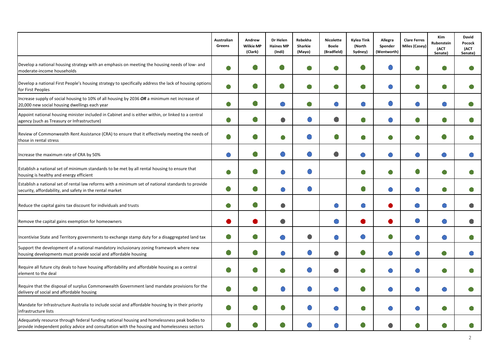|                                                                                                                                                                                              | Australian<br>Greens | Andrew<br><b>Wilkie MP</b><br>(Clark) | Dr Helen<br><b>Haines MP</b><br>(Indi) | Rebekha<br>Sharkie<br>(Mayo) | <b>Nicolette</b><br><b>Boele</b><br>(Bradfield) | <b>Kylea Tink</b><br>(North<br>Sydney) | Allegra<br>Spender<br>(Wentworth) | <b>Clare Ferres</b><br>Miles (Casey) | <b>Kim</b><br>Rubenstein<br>(ACT<br>Senate) | <b>David</b><br>Pocock<br>(ACT<br>Senate) |
|----------------------------------------------------------------------------------------------------------------------------------------------------------------------------------------------|----------------------|---------------------------------------|----------------------------------------|------------------------------|-------------------------------------------------|----------------------------------------|-----------------------------------|--------------------------------------|---------------------------------------------|-------------------------------------------|
| Develop a national housing strategy with an emphasis on meeting the housing needs of low- and<br>moderate-income households                                                                  | $\bullet$            |                                       |                                        |                              |                                                 |                                        |                                   | O                                    |                                             |                                           |
| Develop a national First People's housing strategy to specifically address the lack of housing options<br>for First Peoples                                                                  | $\bullet$            |                                       | Œ                                      |                              |                                                 |                                        | $\bigcirc$                        | O                                    | Œ                                           |                                           |
| Increase supply of social housing to 10% of all housing by 2036 OR a minimum net increase of<br>20,000 new social housing dwellings each year                                                | $\bullet$            |                                       |                                        |                              |                                                 |                                        |                                   |                                      |                                             |                                           |
| Appoint national housing minister included in Cabinet and is either within, or linked to a central<br>agency (such as Treasury or Infrastructure)                                            | $\bullet$            |                                       | O                                      | $\bigcirc$                   |                                                 | O                                      |                                   | 0                                    |                                             |                                           |
| Review of Commonwealth Rent Assistance (CRA) to ensure that it effectively meeting the needs of<br>those in rental stress                                                                    |                      |                                       |                                        |                              |                                                 | œ                                      |                                   | O                                    |                                             |                                           |
| Increase the maximum rate of CRA by 50%                                                                                                                                                      | $\bigcirc$           | O                                     |                                        |                              | c                                               | $\bigcirc$                             | $\bullet$                         | $\bigcirc$                           |                                             |                                           |
| Establish a national set of minimum standards to be met by all rental housing to ensure that<br>housing is healthy and energy efficient                                                      | $\bullet$            |                                       | ◯                                      | $\bigcirc$                   |                                                 | œ                                      | $\bullet$                         | O                                    | Œ                                           |                                           |
| Establish a national set of rental law reforms with a minimum set of national standards to provide<br>security, affordability, and safety in the rental market                               | $\bullet$            | $\bullet$                             | O                                      | $\bigcirc$                   |                                                 | O                                      | $\bullet$                         | $\bigcirc$                           | O                                           |                                           |
| Reduce the capital gains tax discount for individuals and trusts                                                                                                                             | $\bullet$            | 0                                     | $\bullet$                              |                              |                                                 |                                        |                                   | $\bullet$                            |                                             |                                           |
| Remove the capital gains exemption for homeowners                                                                                                                                            | D                    |                                       |                                        |                              |                                                 |                                        |                                   | O                                    |                                             |                                           |
| Incentivise State and Territory governments to exchange stamp duty for a disaggregated land tax                                                                                              | $\bullet$            | $\bullet$                             |                                        | 0                            |                                                 |                                        | $\bullet$                         |                                      |                                             |                                           |
| Support the development of a national mandatory inclusionary zoning framework where new<br>housing developments must provide social and affordable housing                                   | O                    | 0                                     | C                                      | $\bigcirc$                   |                                                 | O                                      | $\bullet$                         | $\bigcirc$                           |                                             |                                           |
| Require all future city deals to have housing affordability and affordable housing as a central<br>element to the deal                                                                       |                      |                                       | Œ                                      |                              |                                                 | O                                      | $\bullet$                         |                                      |                                             |                                           |
| Require that the disposal of surplus Commonwealth Government land mandate provisions for the<br>delivery of social and affordable housing                                                    |                      |                                       |                                        |                              |                                                 |                                        |                                   |                                      |                                             |                                           |
| Mandate for Infrastructure Australia to include social and affordable housing by in their priority<br>infrastructure lists                                                                   | $\bullet$            |                                       | e                                      |                              |                                                 | O                                      | $\bullet$                         |                                      |                                             |                                           |
| Adequately resource through federal funding national housing and homelessness peak bodies to<br>provide independent policy advice and consultation with the housing and homelessness sectors |                      |                                       |                                        |                              |                                                 |                                        |                                   |                                      |                                             |                                           |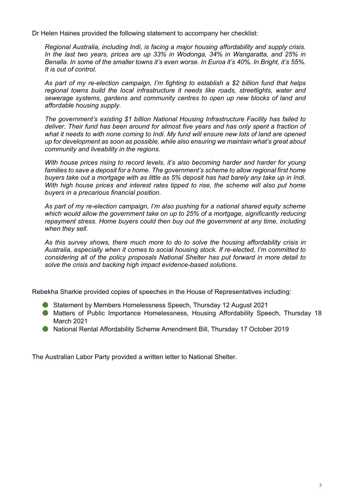Dr Helen Haines provided the following statement to accompany her checklist:

*Regional Australia, including Indi, is facing a major housing affordability and supply crisis. In the last two years, prices are up 33% in Wodonga, 34% in Wangaratta, and 25% in Benalla. In some of the smaller towns it's even worse. In Euroa it's 40%. In Bright, it's 55%. It is out of control.*

*As part of my re-election campaign, I'm fighting to establish a \$2 billion fund that helps regional towns build the local infrastructure it needs like roads, streetlights, water and sewerage systems, gardens and community centres to open up new blocks of land and affordable housing supply.*

*The government's existing \$1 billion National Housing Infrastructure Facility has failed to deliver. Their fund has been around for almost five years and has only spent a fraction of what it needs to with none coming to Indi. My fund will ensure new lots of land are opened up for development as soon as possible, while also ensuring we maintain what's great about community and liveability in the regions.*

*With house prices rising to record levels, it's also becoming harder and harder for young families to save a deposit for a home. The government's scheme to allow regional first home buyers take out a mortgage with as little as 5% deposit has had barely any take up in Indi. With high house prices and interest rates tipped to rise, the scheme will also put home buyers in a precarious financial position.*

*As part of my re-election campaign, I'm also pushing for a national shared equity scheme which would allow the government take on up to 25% of a mortgage, significantly reducing repayment stress. Home buyers could then buy out the government at any time, including when they sell.*

*As this survey shows, there much more to do to solve the housing affordability crisis in Australia, especially when it comes to social housing stock. If re-elected, I'm committed to considering all of the policy proposals National Shelter has put forward in more detail to solve the crisis and backing high impact evidence-based solutions.*

Rebekha Sharkie provided copies of speeches in the House of Representatives including:

- Statement by Members Homelessness Speech, Thursday 12 August 2021
- Matters of Public Importance Homelessness, Housing Affordability Speech, Thursday 18 March 2021
- National Rental Affordability Scheme Amendment Bill, Thursday 17 October 2019

The Australian Labor Party provided a written letter to National Shelter.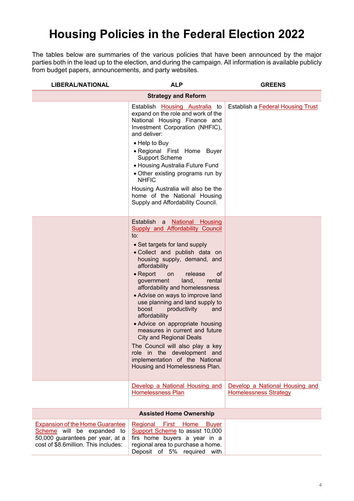## **Housing Policies in the Federal Election 2022**

The tables below are summaries of the various policies that have been announced by the major parties both in the lead up to the election, and during the campaign. All information is available publicly from budget papers, announcements, and party websites.

| <b>LIBERAL/NATIONAL</b>                                                                                                                          | <b>ALP</b>                                                                                                                                                                                                                                                                                                                                                                                                                                                                                                                                                                                                                                                                                  | <b>GREENS</b>                                                  |
|--------------------------------------------------------------------------------------------------------------------------------------------------|---------------------------------------------------------------------------------------------------------------------------------------------------------------------------------------------------------------------------------------------------------------------------------------------------------------------------------------------------------------------------------------------------------------------------------------------------------------------------------------------------------------------------------------------------------------------------------------------------------------------------------------------------------------------------------------------|----------------------------------------------------------------|
|                                                                                                                                                  | <b>Strategy and Reform</b>                                                                                                                                                                                                                                                                                                                                                                                                                                                                                                                                                                                                                                                                  |                                                                |
|                                                                                                                                                  | Establish <b>Housing Australia</b> to<br>expand on the role and work of the<br>National Housing Finance and<br>Investment Corporation (NHFIC),<br>and deliver:<br>• Help to Buy<br>· Regional First Home Buyer<br><b>Support Scheme</b><br>• Housing Australia Future Fund<br>• Other existing programs run by<br><b>NHFIC</b><br>Housing Australia will also be the<br>home of the National Housing<br>Supply and Affordability Council.                                                                                                                                                                                                                                                   | Establish a Federal Housing Trust                              |
|                                                                                                                                                  | Establish a National Housing<br><b>Supply and Affordability Council</b><br>to:<br>• Set targets for land supply<br>. Collect and publish data on<br>housing supply, demand, and<br>affordability<br>$\bullet$ Report<br>release<br>on<br><b>of</b><br>government<br>land,<br>rental<br>affordability and homelessness<br>• Advise on ways to improve land<br>use planning and land supply to<br>boost<br>productivity<br>and<br>affordability<br>• Advice on appropriate housing<br>measures in current and future<br><b>City and Regional Deals</b><br>The Council will also play a key<br>role in the development and<br>implementation of the National<br>Housing and Homelessness Plan. |                                                                |
|                                                                                                                                                  | Develop a National Housing and<br><b>Homelessness Plan</b>                                                                                                                                                                                                                                                                                                                                                                                                                                                                                                                                                                                                                                  | Develop a National Housing and<br><b>Homelessness Strategy</b> |
|                                                                                                                                                  | <b>Assisted Home Ownership</b>                                                                                                                                                                                                                                                                                                                                                                                                                                                                                                                                                                                                                                                              |                                                                |
| <b>Expansion of the Home Guarantee</b><br>Scheme will be expanded to<br>50,000 guarantees per year, at a<br>cost of \$8.6million. This includes: | Regional<br>First<br>Home<br><b>Buver</b><br>Support Scheme to assist 10,000<br>firs home buyers a year in a<br>regional area to purchase a home.<br>Deposit of 5% required with                                                                                                                                                                                                                                                                                                                                                                                                                                                                                                            |                                                                |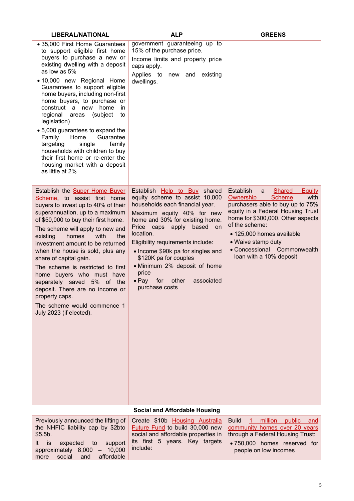| <b>LIBERAL/NATIONAL</b>                                                                                                                                                                                                                                                                                                                                                                                                                                                                                                                                                                                     | <b>ALP</b>                                                                                                                                                                                                                                                                                                                                                                                                                          | <b>GREENS</b>                                                                                                                                                                                                                                                                                                                       |
|-------------------------------------------------------------------------------------------------------------------------------------------------------------------------------------------------------------------------------------------------------------------------------------------------------------------------------------------------------------------------------------------------------------------------------------------------------------------------------------------------------------------------------------------------------------------------------------------------------------|-------------------------------------------------------------------------------------------------------------------------------------------------------------------------------------------------------------------------------------------------------------------------------------------------------------------------------------------------------------------------------------------------------------------------------------|-------------------------------------------------------------------------------------------------------------------------------------------------------------------------------------------------------------------------------------------------------------------------------------------------------------------------------------|
| • 35,000 First Home Guarantees<br>to support eligible first home<br>buyers to purchase a new or<br>existing dwelling with a deposit<br>as low as 5%<br>• 10,000 new Regional Home<br>Guarantees to support eligible<br>home buyers, including non-first<br>home buyers, to purchase or<br>construct a new home<br>in.<br>regional<br>(subject<br>areas<br>to<br>legislation)<br>• 5,000 guarantees to expand the<br>Family<br>Home<br>Guarantee<br>family<br>targeting<br>single<br>households with children to buy<br>their first home or re-enter the<br>housing market with a deposit<br>as little at 2% | government guaranteeing up to<br>15% of the purchase price.<br>Income limits and property price<br>caps apply.<br>Applies to new and existing<br>dwellings.                                                                                                                                                                                                                                                                         |                                                                                                                                                                                                                                                                                                                                     |
| Establish the <b>Super Home Buyer</b><br>Scheme, to assist first home<br>buyers to invest up to 40% of their<br>superannuation, up to a maximum<br>of \$50,000 to buy their first home.<br>The scheme will apply to new and<br>homes<br>existing<br>with<br>the<br>investment amount to be returned<br>when the house is sold, plus any<br>share of capital gain.<br>The scheme is restricted to first<br>home buyers who must have<br>separately saved 5% of the<br>deposit. There are no income or<br>property caps.<br>The scheme would commence 1<br>July 2023 (if elected).                            | Establish Help to Buy shared<br>equity scheme to assist 10,000<br>households each financial year.<br>Maximum equity 40% for new<br>home and 30% for existing home.<br>based<br>Price caps apply<br><b>on</b><br>location.<br>Eligibility requirements include:<br>• Income \$90k pa for singles and<br>\$120K pa for couples<br>· Minimum 2% deposit of home<br>price<br>$\bullet$ Pay for<br>other<br>associated<br>purchase costs | Establish<br><b>Shared</b><br><b>Equity</b><br>a<br>with<br><b>Scheme</b><br>Ownership<br>purchasers able to buy up to 75%<br>equity in a Federal Housing Trust<br>home for \$300,000. Other aspects<br>of the scheme:<br>• 125,000 homes available<br>• Waive stamp duty<br>• Concessional Commonwealth<br>loan with a 10% deposit |
|                                                                                                                                                                                                                                                                                                                                                                                                                                                                                                                                                                                                             | <b>Social and Affordable Housing</b>                                                                                                                                                                                                                                                                                                                                                                                                |                                                                                                                                                                                                                                                                                                                                     |
| Previously announced the lifting of                                                                                                                                                                                                                                                                                                                                                                                                                                                                                                                                                                         | Create \$10b Housing Australia                                                                                                                                                                                                                                                                                                                                                                                                      | <b>Build</b><br>million<br>public<br>and                                                                                                                                                                                                                                                                                            |

|                                                                   | Previously announced the lifting of Create \$10b Housing Australia Build 1 million<br>the NHFIC liability cap by \$2bto Future Fund to build 30,000 new community homes over 20 years | public and                                            |
|-------------------------------------------------------------------|---------------------------------------------------------------------------------------------------------------------------------------------------------------------------------------|-------------------------------------------------------|
| \$5.5b.                                                           | social and affordable properties in   through a Federal Housing Trust:                                                                                                                |                                                       |
| support<br>expected to<br>lt is<br>approximately $8,000 - 10,000$ | its first 5 years. Key targets<br>include:                                                                                                                                            | • 750,000 homes reserved for<br>people on low incomes |
| social and affordable<br>more                                     |                                                                                                                                                                                       |                                                       |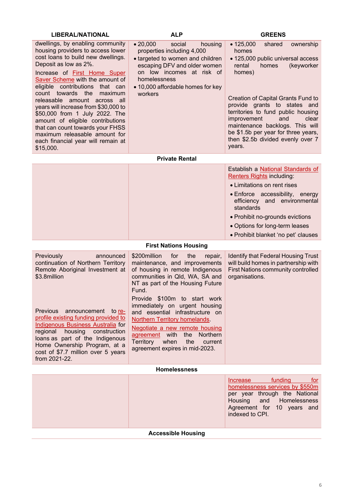| <b>LIBERAL/NATIONAL</b>                                                                                                                                                                                                                                                                                                                                                                                                                                                                                                                                 | <b>ALP</b>                                                                                                                                                                                                                                                                                                                                                                                                                                                           | <b>GREENS</b>                                                                                                                                                                                                                                                                                                                                                                                        |
|---------------------------------------------------------------------------------------------------------------------------------------------------------------------------------------------------------------------------------------------------------------------------------------------------------------------------------------------------------------------------------------------------------------------------------------------------------------------------------------------------------------------------------------------------------|----------------------------------------------------------------------------------------------------------------------------------------------------------------------------------------------------------------------------------------------------------------------------------------------------------------------------------------------------------------------------------------------------------------------------------------------------------------------|------------------------------------------------------------------------------------------------------------------------------------------------------------------------------------------------------------------------------------------------------------------------------------------------------------------------------------------------------------------------------------------------------|
| dwellings, by enabling community<br>housing providers to access lower<br>cost loans to build new dwellings.<br>Deposit as low as 2%.<br>Increase of <b>First Home Super</b><br>Saver Scheme with the amount of<br>eligible contributions that can<br>count towards the<br>maximum<br>releasable amount across all<br>years will increase from \$30,000 to<br>\$50,000 from 1 July 2022. The<br>amount of eligible contributions<br>that can count towards your FHSS<br>maximum releasable amount for<br>each financial year will remain at<br>\$15,000. | • 20,000<br>social<br>housing<br>properties including 4,000<br>· targeted to women and children<br>escaping DFV and older women<br>on low incomes at risk of<br>homelessness<br>• 10,000 affordable homes for key<br>workers                                                                                                                                                                                                                                         | shared<br>• 125,000<br>ownership<br>homes<br>· 125,000 public universal access<br>rental<br>homes<br>(keyworker<br>homes)<br><b>Creation of Capital Grants Fund to</b><br>provide grants to states and<br>territories to fund public housing<br>improvement<br>and<br>clear<br>maintenance backlogs. This will<br>be \$1.5b per year for three years,<br>then \$2.5b divided evenly over 7<br>years. |
|                                                                                                                                                                                                                                                                                                                                                                                                                                                                                                                                                         | <b>Private Rental</b>                                                                                                                                                                                                                                                                                                                                                                                                                                                |                                                                                                                                                                                                                                                                                                                                                                                                      |
|                                                                                                                                                                                                                                                                                                                                                                                                                                                                                                                                                         |                                                                                                                                                                                                                                                                                                                                                                                                                                                                      | Establish a National Standards of<br>Renters Rights including:<br>• Limitations on rent rises<br>• Enforce accessibility, energy<br>efficiency and environmental<br>standards<br>• Prohibit no-grounds evictions<br>• Options for long-term leases<br>· Prohibit blanket 'no pet' clauses                                                                                                            |
|                                                                                                                                                                                                                                                                                                                                                                                                                                                                                                                                                         | <b>First Nations Housing</b>                                                                                                                                                                                                                                                                                                                                                                                                                                         |                                                                                                                                                                                                                                                                                                                                                                                                      |
| Previously<br>announced<br>continuation of Northern Territory<br>Remote Aboriginal Investment at<br>\$3.8million<br>Previous announcement to re-<br>profile existing funding provided to<br>Indigenous Business Australia for<br>regional housing construction<br>loans as part of the Indigenous<br>Home Ownership Program, at a<br>cost of \$7.7 million over 5 years<br>from 2021-22.                                                                                                                                                                | \$200million<br>for<br>the<br>repair,<br>maintenance, and improvements<br>of housing in remote Indigenous<br>communities in Qld, WA, SA and<br>NT as part of the Housing Future<br>Fund.<br>Provide \$100m to start work<br>immediately on urgent housing<br>and essential infrastructure on<br>Northern Territory homelands.<br>Negotiate a new remote housing<br>agreement with the Northern<br>Territory when<br>the<br>current<br>agreement expires in mid-2023. | <b>Identify that Federal Housing Trust</b><br>will build homes in partnership with<br>First Nations community controlled<br>organisations.                                                                                                                                                                                                                                                           |
|                                                                                                                                                                                                                                                                                                                                                                                                                                                                                                                                                         | <b>Homelessness</b>                                                                                                                                                                                                                                                                                                                                                                                                                                                  |                                                                                                                                                                                                                                                                                                                                                                                                      |
|                                                                                                                                                                                                                                                                                                                                                                                                                                                                                                                                                         |                                                                                                                                                                                                                                                                                                                                                                                                                                                                      | funding<br>Increase<br>for<br>homelessness services by \$550m<br>per year through the National<br>Housing<br>and Homelessness<br>Agreement for 10 years and<br>indexed to CPI.                                                                                                                                                                                                                       |

**Accessible Housing**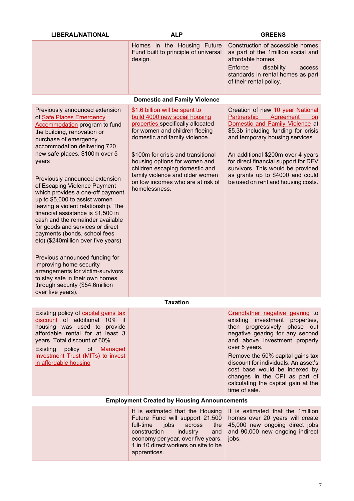| <b>LIBERAL/NATIONAL</b>                                                                                                                                                                                                                                                                                                                                                                                                                                                                                                                                                                                                                                                                                                                                                          | <b>ALP</b><br><b>GREENS</b>                                                                                                                                                                                                                                                                                                                                               |                                                                                                                                                                                                                                                                                                                                                                                               |  |  |
|----------------------------------------------------------------------------------------------------------------------------------------------------------------------------------------------------------------------------------------------------------------------------------------------------------------------------------------------------------------------------------------------------------------------------------------------------------------------------------------------------------------------------------------------------------------------------------------------------------------------------------------------------------------------------------------------------------------------------------------------------------------------------------|---------------------------------------------------------------------------------------------------------------------------------------------------------------------------------------------------------------------------------------------------------------------------------------------------------------------------------------------------------------------------|-----------------------------------------------------------------------------------------------------------------------------------------------------------------------------------------------------------------------------------------------------------------------------------------------------------------------------------------------------------------------------------------------|--|--|
|                                                                                                                                                                                                                                                                                                                                                                                                                                                                                                                                                                                                                                                                                                                                                                                  | Homes in the Housing Future<br>Fund built to principle of universal<br>design.                                                                                                                                                                                                                                                                                            | Construction of accessible homes<br>as part of the 1million social and<br>affordable homes.                                                                                                                                                                                                                                                                                                   |  |  |
|                                                                                                                                                                                                                                                                                                                                                                                                                                                                                                                                                                                                                                                                                                                                                                                  |                                                                                                                                                                                                                                                                                                                                                                           | Enforce<br>disability<br>access<br>standards in rental homes as part<br>of their rental policy.                                                                                                                                                                                                                                                                                               |  |  |
|                                                                                                                                                                                                                                                                                                                                                                                                                                                                                                                                                                                                                                                                                                                                                                                  | <b>Domestic and Family Violence</b>                                                                                                                                                                                                                                                                                                                                       |                                                                                                                                                                                                                                                                                                                                                                                               |  |  |
| Previously announced extension<br>of Safe Places Emergency<br><b>Accommodation program to fund</b><br>the building, renovation or<br>purchase of emergency<br>accommodation delivering 720<br>new safe places. \$100m over 5<br>years<br>Previously announced extension<br>of Escaping Violence Payment<br>which provides a one-off payment<br>up to \$5,000 to assist women<br>leaving a violent relationship. The<br>financial assistance is \$1,500 in<br>cash and the remainder available<br>for goods and services or direct<br>payments (bonds, school fees<br>etc) (\$240million over five years)<br>Previous announced funding for<br>improving home security<br>arrangements for victim-survivors<br>to stay safe in their own homes<br>through security (\$54.6million | \$1.6 billion will be spent to<br>build 4000 new social housing<br>properties specifically allocated<br>for women and children fleeing<br>domestic and family violence.<br>\$100m for crisis and transitional<br>housing options for women and<br>children escaping domestic and<br>family violence and older women<br>on low incomes who are at risk of<br>homelessness. | Creation of new 10 year National<br>Agreement<br>Partnership<br><b>on</b><br>Domestic and Family Violence at<br>\$5.3b including funding for crisis<br>and temporary housing services<br>An additional \$200m over 4 years<br>for direct financial support for DFV<br>survivors. This would be provided<br>as grants up to \$4000 and could<br>be used on rent and housing costs.             |  |  |
| over five years).<br><b>Taxation</b>                                                                                                                                                                                                                                                                                                                                                                                                                                                                                                                                                                                                                                                                                                                                             |                                                                                                                                                                                                                                                                                                                                                                           |                                                                                                                                                                                                                                                                                                                                                                                               |  |  |
| Existing policy of capital gains tax<br>discount of additional 10% if<br>housing was used to provide<br>affordable rental for at least 3<br>years. Total discount of 60%.<br>policy of<br>Existing<br>Managed<br>Investment Trust (MITs) to invest<br>in affordable housing                                                                                                                                                                                                                                                                                                                                                                                                                                                                                                      |                                                                                                                                                                                                                                                                                                                                                                           | Grandfather negative gearing to<br>existing investment properties,<br>then progressively phase out<br>negative gearing for any second<br>and above investment property<br>over 5 years.<br>Remove the 50% capital gains tax<br>discount for individuals. An asset's<br>cost base would be indexed by<br>changes in the CPI as part of<br>calculating the capital gain at the<br>time of sale. |  |  |
| <b>Employment Created by Housing Announcements</b>                                                                                                                                                                                                                                                                                                                                                                                                                                                                                                                                                                                                                                                                                                                               |                                                                                                                                                                                                                                                                                                                                                                           |                                                                                                                                                                                                                                                                                                                                                                                               |  |  |

| economy per year, over five years.   jobs.<br>1 in 10 direct workers on site to be<br>apprentices. | It is estimated that the Housing It is estimated that the 1 million<br>Future Fund will support 21,500 homes over 20 years will create<br>full-time jobs across the $45,000$ new ongoing direct jobs<br>construction industry and and 90,000 new ongoing indirect |
|----------------------------------------------------------------------------------------------------|-------------------------------------------------------------------------------------------------------------------------------------------------------------------------------------------------------------------------------------------------------------------|
|----------------------------------------------------------------------------------------------------|-------------------------------------------------------------------------------------------------------------------------------------------------------------------------------------------------------------------------------------------------------------------|